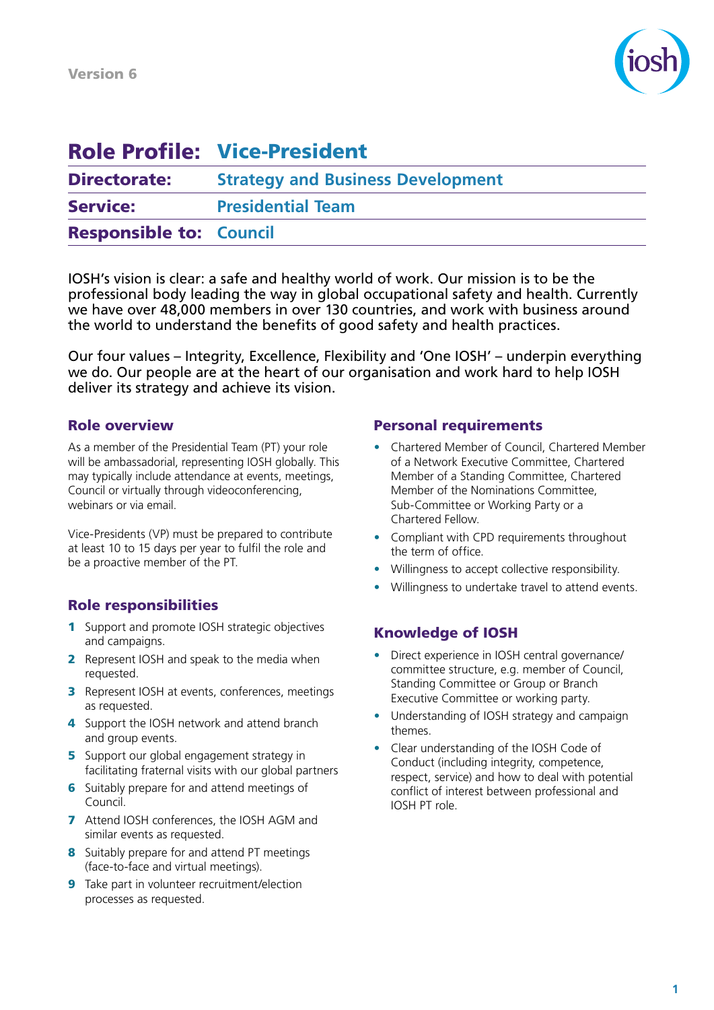

# Role Profile: Vice-President

| <b>Directorate:</b>            | <b>Strategy and Business Development</b> |
|--------------------------------|------------------------------------------|
| <b>Service:</b>                | <b>Presidential Team</b>                 |
| <b>Responsible to: Council</b> |                                          |

IOSH's vision is clear: a safe and healthy world of work. Our mission is to be the professional body leading the way in global occupational safety and health. Currently we have over 48,000 members in over 130 countries, and work with business around the world to understand the benefits of good safety and health practices.

Our four values – Integrity, Excellence, Flexibility and 'One IOSH' – underpin everything we do. Our people are at the heart of our organisation and work hard to help IOSH deliver its strategy and achieve its vision.

## Role overview

As a member of the Presidential Team (PT) your role will be ambassadorial, representing IOSH globally. This may typically include attendance at events, meetings, Council or virtually through videoconferencing, webinars or via email.

Vice-Presidents (VP) must be prepared to contribute at least 10 to 15 days per year to fulfil the role and be a proactive member of the PT.

# Role responsibilities

- 1 Support and promote IOSH strategic objectives and campaigns.
- **2** Represent IOSH and speak to the media when requested.
- **3** Represent IOSH at events, conferences, meetings as requested.
- 4 Support the IOSH network and attend branch and group events.
- **5** Support our global engagement strategy in facilitating fraternal visits with our global partners
- 6 Suitably prepare for and attend meetings of Council.
- 7 Attend IOSH conferences, the IOSH AGM and similar events as requested.
- 8 Suitably prepare for and attend PT meetings (face-to-face and virtual meetings).
- 9 Take part in volunteer recruitment/election processes as requested.

#### Personal requirements

- Chartered Member of Council, Chartered Member of a Network Executive Committee, Chartered Member of a Standing Committee, Chartered Member of the Nominations Committee, Sub-Committee or Working Party or a Chartered Fellow.
- Compliant with CPD requirements throughout the term of office.
- Willingness to accept collective responsibility.
- Willingness to undertake travel to attend events.

## Knowledge of IOSH

- Direct experience in IOSH central governance/ committee structure, e.g. member of Council, Standing Committee or Group or Branch Executive Committee or working party.
- Understanding of IOSH strategy and campaign themes.
- Clear understanding of the IOSH Code of Conduct (including integrity, competence, respect, service) and how to deal with potential conflict of interest between professional and IOSH PT role.